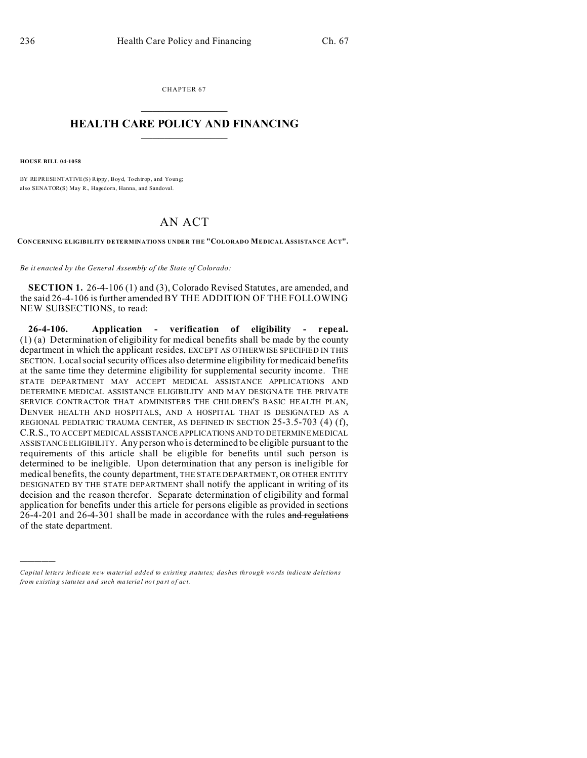CHAPTER 67  $\overline{\phantom{a}}$  , where  $\overline{\phantom{a}}$ 

## **HEALTH CARE POLICY AND FINANCING**  $\_$   $\_$   $\_$   $\_$   $\_$   $\_$   $\_$   $\_$

**HOUSE BILL 04-1058**

)))))

BY REPRESENTATIVE(S) Rippy, Boyd, Tochtrop, and Young; also SENATOR(S) May R., Hagedorn, Hanna, and Sandoval.

## AN ACT

**CONCERNING ELIGIBILITY DETERMINATIONS UNDER THE "COLORADO MEDICAL ASSISTANCE ACT".**

*Be it enacted by the General Assembly of the State of Colorado:*

**SECTION 1.** 26-4-106 (1) and (3), Colorado Revised Statutes, are amended, and the said 26-4-106 is further amended BY THE ADDITION OF THE FOLLOWING NEW SUBSECTIONS, to read:

**26-4-106. Application - verification of eligibility - repeal.** (1) (a) Determination of eligibility for medical benefits shall be made by the county department in which the applicant resides, EXCEPT AS OTHERWISE SPECIFIED IN THIS SECTION. Local social security offices also determine eligibility for medicaid benefits at the same time they determine eligibility for supplemental security income. THE STATE DEPARTMENT MAY ACCEPT MEDICAL ASSISTANCE APPLICATIONS AND DETERMINE MEDICAL ASSISTANCE ELIGIBILITY AND MAY DESIGNATE THE PRIVATE SERVICE CONTRACTOR THAT ADMINISTERS THE CHILDREN'S BASIC HEALTH PLAN, DENVER HEALTH AND HOSPITALS, AND A HOSPITAL THAT IS DESIGNATED AS A REGIONAL PEDIATRIC TRAUMA CENTER, AS DEFINED IN SECTION 25-3.5-703 (4) (f), C.R.S., TO ACCEPT MEDICAL ASSISTANCE APPLICATIONS AND TO DETERMINE MEDICAL ASSISTANCE ELIGIBILITY. Any person who is determined to be eligible pursuant to the requirements of this article shall be eligible for benefits until such person is determined to be ineligible. Upon determination that any person is ineligible for medical benefits, the county department, THE STATE DEPARTMENT, OR OTHER ENTITY DESIGNATED BY THE STATE DEPARTMENT shall notify the applicant in writing of its decision and the reason therefor. Separate determination of eligibility and formal application for benefits under this article for persons eligible as provided in sections 26-4-201 and 26-4-301 shall be made in accordance with the rules and regulations of the state department.

*Capital letters indicate new material added to existing statutes; dashes through words indicate deletions from e xistin g statu tes a nd such ma teria l no t pa rt of ac t.*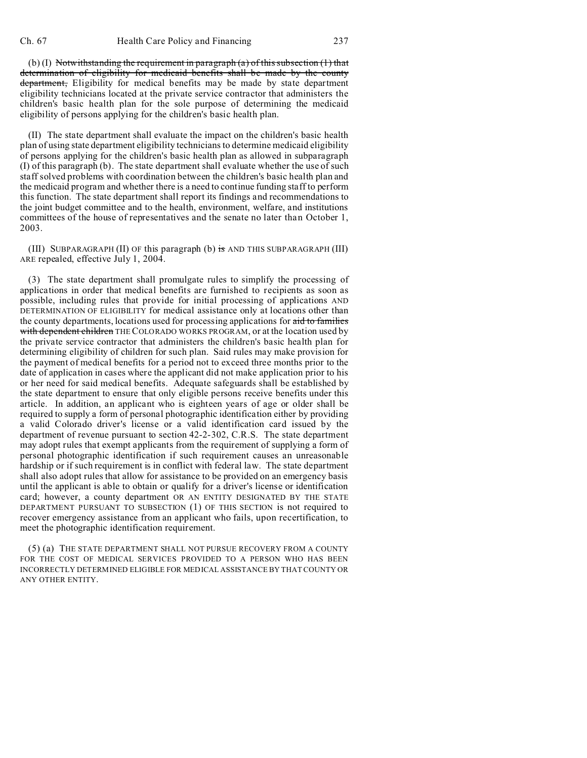(b) (I) Notwithstanding the requirement in paragraph  $(a)$  of this subsection  $(1)$  that determination of eligibility for medicaid benefits shall be made by the county department, Eligibility for medical benefits may be made by state department eligibility technicians located at the private service contractor that administers the children's basic health plan for the sole purpose of determining the medicaid eligibility of persons applying for the children's basic health plan.

(II) The state department shall evaluate the impact on the children's basic health plan of using state department eligibility technicians to determine medicaid eligibility of persons applying for the children's basic health plan as allowed in subparagraph (I) of this paragraph (b). The state department shall evaluate whether the use of such staff solved problems with coordination between the children's basic health plan and the medicaid program and whether there is a need to continue funding staff to perform this function. The state department shall report its findings and recommendations to the joint budget committee and to the health, environment, welfare, and institutions committees of the house of representatives and the senate no later than October 1, 2003.

(III) SUBPARAGRAPH (II) OF this paragraph (b) is AND THIS SUBPARAGRAPH (III) ARE repealed, effective July 1, 2004.

(3) The state department shall promulgate rules to simplify the processing of applications in order that medical benefits are furnished to recipients as soon as possible, including rules that provide for initial processing of applications AND DETERMINATION OF ELIGIBILITY for medical assistance only at locations other than the county departments, locations used for processing applications for aid to families with dependent children THE COLORADO WORKS PROGRAM, or at the location used by the private service contractor that administers the children's basic health plan for determining eligibility of children for such plan. Said rules may make provision for the payment of medical benefits for a period not to exceed three months prior to the date of application in cases where the applicant did not make application prior to his or her need for said medical benefits. Adequate safeguards shall be established by the state department to ensure that only eligible persons receive benefits under this article. In addition, an applicant who is eighteen years of age or older shall be required to supply a form of personal photographic identification either by providing a valid Colorado driver's license or a valid identification card issued by the department of revenue pursuant to section 42-2-302, C.R.S. The state department may adopt rules that exempt applicants from the requirement of supplying a form of personal photographic identification if such requirement causes an unreasonable hardship or if such requirement is in conflict with federal law. The state department shall also adopt rules that allow for assistance to be provided on an emergency basis until the applicant is able to obtain or qualify for a driver's license or identification card; however, a county department OR AN ENTITY DESIGNATED BY THE STATE DEPARTMENT PURSUANT TO SUBSECTION (1) OF THIS SECTION is not required to recover emergency assistance from an applicant who fails, upon recertification, to meet the photographic identification requirement.

(5) (a) THE STATE DEPARTMENT SHALL NOT PURSUE RECOVERY FROM A COUNTY FOR THE COST OF MEDICAL SERVICES PROVIDED TO A PERSON WHO HAS BEEN INCORRECTLY DETERMINED ELIGIBLE FOR MEDICAL ASSISTANCE BY THAT COUNTY OR ANY OTHER ENTITY.